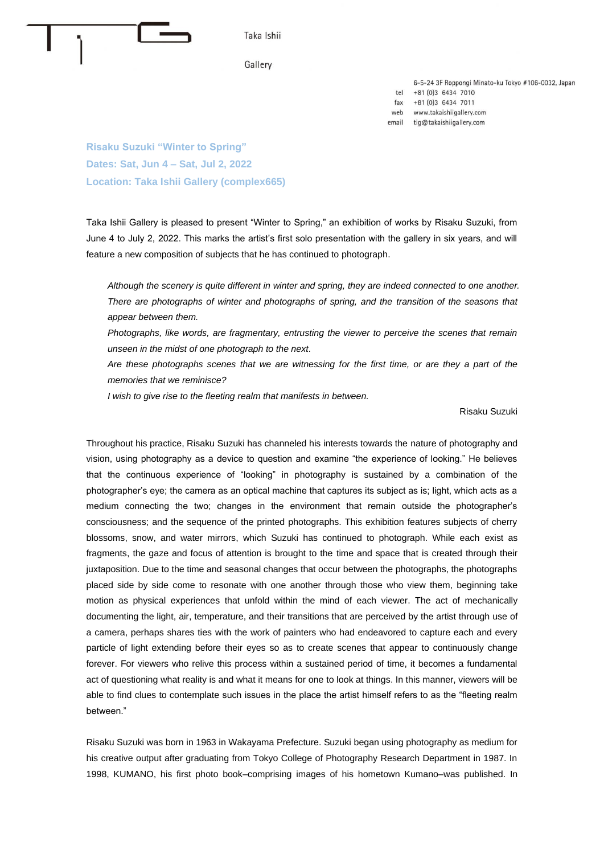

6-5-24 3F Roppongi Minato-ku Tokyo #106-0032, Japan tel +81 (0)3 6434 7010 +81 (0)3 6434 7011  $fax$ web www.takaishiigallery.com email tig@takaishiigallery.com

**Risaku Suzuki "Winter to Spring" Dates: Sat, Jun 4 – Sat, Jul 2, 2022 Location: Taka Ishii Gallery (complex665)**

Taka Ishii Gallery is pleased to present "Winter to Spring," an exhibition of works by Risaku Suzuki, from June 4 to July 2, 2022. This marks the artist's first solo presentation with the gallery in six years, and will feature a new composition of subjects that he has continued to photograph.

*Although the scenery is quite different in winter and spring, they are indeed connected to one another. There are photographs of winter and photographs of spring, and the transition of the seasons that appear between them.*

*Photographs, like words, are fragmentary, entrusting the viewer to perceive the scenes that remain unseen in the midst of one photograph to the next.* 

*Are these photographs scenes that we are witnessing for the first time, or are they a part of the memories that we reminisce?* 

*I wish to give rise to the fleeting realm that manifests in between.*

Risaku Suzuki

Throughout his practice, Risaku Suzuki has channeled his interests towards the nature of photography and vision, using photography as a device to question and examine "the experience of looking." He believes that the continuous experience of "looking" in photography is sustained by a combination of the photographer's eye; the camera as an optical machine that captures its subject as is; light, which acts as a medium connecting the two; changes in the environment that remain outside the photographer's consciousness; and the sequence of the printed photographs. This exhibition features subjects of cherry blossoms, snow, and water mirrors, which Suzuki has continued to photograph. While each exist as fragments, the gaze and focus of attention is brought to the time and space that is created through their juxtaposition. Due to the time and seasonal changes that occur between the photographs, the photographs placed side by side come to resonate with one another through those who view them, beginning take motion as physical experiences that unfold within the mind of each viewer. The act of mechanically documenting the light, air, temperature, and their transitions that are perceived by the artist through use of a camera, perhaps shares ties with the work of painters who had endeavored to capture each and every particle of light extending before their eyes so as to create scenes that appear to continuously change forever. For viewers who relive this process within a sustained period of time, it becomes a fundamental act of questioning what reality is and what it means for one to look at things. In this manner, viewers will be able to find clues to contemplate such issues in the place the artist himself refers to as the "fleeting realm between."

Risaku Suzuki was born in 1963 in Wakayama Prefecture. Suzuki began using photography as medium for his creative output after graduating from Tokyo College of Photography Research Department in 1987. In 1998, KUMANO, his first photo book–comprising images of his hometown Kumano–was published. In